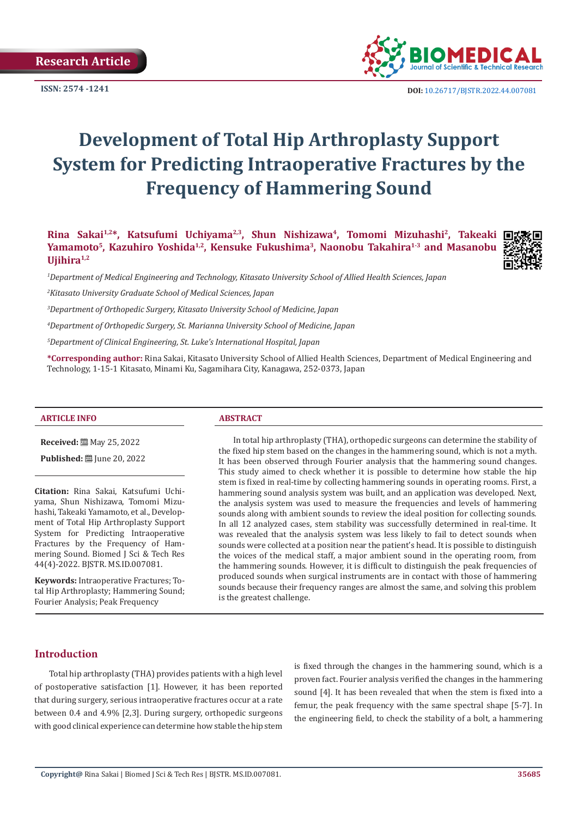

**ISSN:**  $2574 - 1241$  **DOI:** [10.26717/BJSTR.2022.44.007081](https://dx.doi.org/10.26717/BJSTR.2022.44.007081)

# **Development of Total Hip Arthroplasty Support System for Predicting Intraoperative Fractures by the Frequency of Hammering Sound**

**Rina Sakai1,2\*, Katsufumi Uchiyama2,3, Shun Nishizawa4, Tomomi Mizuhashi2, Takeaki**  Yamamoto<sup>5</sup>, Kazuhiro Yoshida<sup>1,2</sup>, Kensuke Fukushima<sup>3</sup>, Naonobu Takahira<sup>1,3</sup> and Masanobu Ujihira<sup>1,2</sup>



*1 Department of Medical Engineering and Technology, Kitasato University School of Allied Health Sciences, Japan*

*2 Kitasato University Graduate School of Medical Sciences, Japan*

*3 Department of Orthopedic Surgery, Kitasato University School of Medicine, Japan*

*4 Department of Orthopedic Surgery, St. Marianna University School of Medicine, Japan*

*5 Department of Clinical Engineering, St. Luke's International Hospital, Japan*

**\*Corresponding author:** Rina Sakai, Kitasato University School of Allied Health Sciences, Department of Medical Engineering and Technology, 1-15-1 Kitasato, Minami Ku, Sagamihara City, Kanagawa, 252-0373, Japan

#### **ARTICLE INFO ABSTRACT**

**Received:** 圖 May 25, 2022

**Published:** ■ June 20, 2022

**Citation:** Rina Sakai, Katsufumi Uchiyama, Shun Nishizawa, Tomomi Mizuhashi, Takeaki Yamamoto, et al., Development of Total Hip Arthroplasty Support System for Predicting Intraoperative Fractures by the Frequency of Hammering Sound. Biomed J Sci & Tech Res 44(4)-2022. BJSTR. MS.ID.007081.

**Keywords:** Intraoperative Fractures; Total Hip Arthroplasty; Hammering Sound; Fourier Analysis; Peak Frequency

In total hip arthroplasty (THA), orthopedic surgeons can determine the stability of the fixed hip stem based on the changes in the hammering sound, which is not a myth. It has been observed through Fourier analysis that the hammering sound changes. This study aimed to check whether it is possible to determine how stable the hip stem is fixed in real-time by collecting hammering sounds in operating rooms. First, a hammering sound analysis system was built, and an application was developed. Next, the analysis system was used to measure the frequencies and levels of hammering sounds along with ambient sounds to review the ideal position for collecting sounds. In all 12 analyzed cases, stem stability was successfully determined in real-time. It was revealed that the analysis system was less likely to fail to detect sounds when sounds were collected at a position near the patient's head. It is possible to distinguish the voices of the medical staff, a major ambient sound in the operating room, from the hammering sounds. However, it is difficult to distinguish the peak frequencies of produced sounds when surgical instruments are in contact with those of hammering sounds because their frequency ranges are almost the same, and solving this problem is the greatest challenge.

# **Introduction**

Total hip arthroplasty (THA) provides patients with a high level of postoperative satisfaction [1]. However, it has been reported that during surgery, serious intraoperative fractures occur at a rate between 0.4 and 4.9% [2,3]. During surgery, orthopedic surgeons with good clinical experience can determine how stable the hip stem

is fixed through the changes in the hammering sound, which is a proven fact. Fourier analysis verified the changes in the hammering sound [4]. It has been revealed that when the stem is fixed into a femur, the peak frequency with the same spectral shape [5-7]. In the engineering field, to check the stability of a bolt, a hammering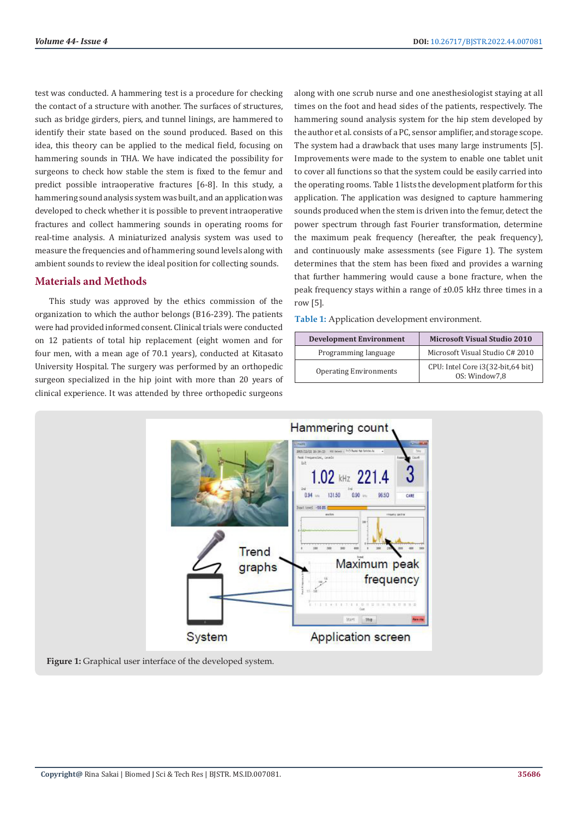test was conducted. A hammering test is a procedure for checking the contact of a structure with another. The surfaces of structures, such as bridge girders, piers, and tunnel linings, are hammered to identify their state based on the sound produced. Based on this idea, this theory can be applied to the medical field, focusing on hammering sounds in THA. We have indicated the possibility for surgeons to check how stable the stem is fixed to the femur and predict possible intraoperative fractures [6-8]. In this study, a hammering sound analysis system was built, and an application was developed to check whether it is possible to prevent intraoperative fractures and collect hammering sounds in operating rooms for real-time analysis. A miniaturized analysis system was used to measure the frequencies and of hammering sound levels along with ambient sounds to review the ideal position for collecting sounds.

# **Materials and Methods**

This study was approved by the ethics commission of the organization to which the author belongs (B16-239). The patients were had provided informed consent. Clinical trials were conducted on 12 patients of total hip replacement (eight women and for four men, with a mean age of 70.1 years), conducted at Kitasato University Hospital. The surgery was performed by an orthopedic surgeon specialized in the hip joint with more than 20 years of clinical experience. It was attended by three orthopedic surgeons

along with one scrub nurse and one anesthesiologist staying at all times on the foot and head sides of the patients, respectively. The hammering sound analysis system for the hip stem developed by the author et al. consists of a PC, sensor amplifier, and storage scope. The system had a drawback that uses many large instruments [5]. Improvements were made to the system to enable one tablet unit to cover all functions so that the system could be easily carried into the operating rooms. Table 1 lists the development platform for this application. The application was designed to capture hammering sounds produced when the stem is driven into the femur, detect the power spectrum through fast Fourier transformation, determine the maximum peak frequency (hereafter, the peak frequency), and continuously make assessments (see Figure 1). The system determines that the stem has been fixed and provides a warning that further hammering would cause a bone fracture, when the peak frequency stays within a range of ±0.05 kHz three times in a row [5].

**Table 1:** Application development environment.

| <b>Development Environment</b> | <b>Microsoft Visual Studio 2010</b>                |
|--------------------------------|----------------------------------------------------|
| Programming language           | Microsoft Visual Studio C# 2010                    |
| <b>Operating Environments</b>  | CPU: Intel Core i3(32-bit,64 bit)<br>OS: Window7.8 |



**Figure 1:** Graphical user interface of the developed system.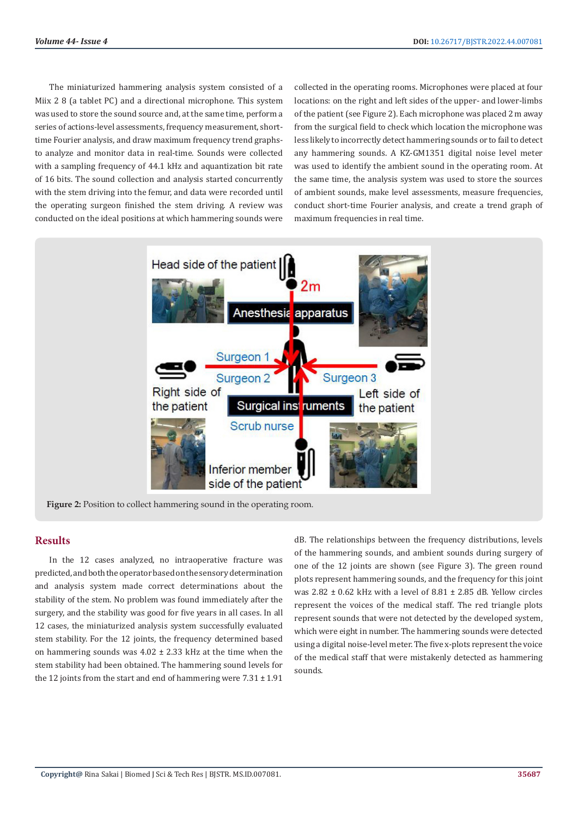The miniaturized hammering analysis system consisted of a Miix 2 8 (a tablet PC) and a directional microphone. This system was used to store the sound source and, at the same time, perform a series of actions-level assessments, frequency measurement, shorttime Fourier analysis, and draw maximum frequency trend graphsto analyze and monitor data in real-time. Sounds were collected with a sampling frequency of 44.1 kHz and aquantization bit rate of 16 bits. The sound collection and analysis started concurrently with the stem driving into the femur, and data were recorded until the operating surgeon finished the stem driving. A review was conducted on the ideal positions at which hammering sounds were

collected in the operating rooms. Microphones were placed at four locations: on the right and left sides of the upper- and lower-limbs of the patient (see Figure 2). Each microphone was placed 2 m away from the surgical field to check which location the microphone was less likely to incorrectly detect hammering sounds or to fail to detect any hammering sounds. A KZ-GM1351 digital noise level meter was used to identify the ambient sound in the operating room. At the same time, the analysis system was used to store the sources of ambient sounds, make level assessments, measure frequencies, conduct short-time Fourier analysis, and create a trend graph of maximum frequencies in real time.



# **Results**

In the 12 cases analyzed, no intraoperative fracture was predicted, and both the operator based on the sensory determination and analysis system made correct determinations about the stability of the stem. No problem was found immediately after the surgery, and the stability was good for five years in all cases. In all 12 cases, the miniaturized analysis system successfully evaluated stem stability. For the 12 joints, the frequency determined based on hammering sounds was 4.02 ± 2.33 kHz at the time when the stem stability had been obtained. The hammering sound levels for the 12 joints from the start and end of hammering were  $7.31 \pm 1.91$ 

dB. The relationships between the frequency distributions, levels of the hammering sounds, and ambient sounds during surgery of one of the 12 joints are shown (see Figure 3). The green round plots represent hammering sounds, and the frequency for this joint was 2.82 ± 0.62 kHz with a level of 8.81 ± 2.85 dB. Yellow circles represent the voices of the medical staff. The red triangle plots represent sounds that were not detected by the developed system, which were eight in number. The hammering sounds were detected using a digital noise-level meter. The five x-plots represent the voice of the medical staff that were mistakenly detected as hammering sounds.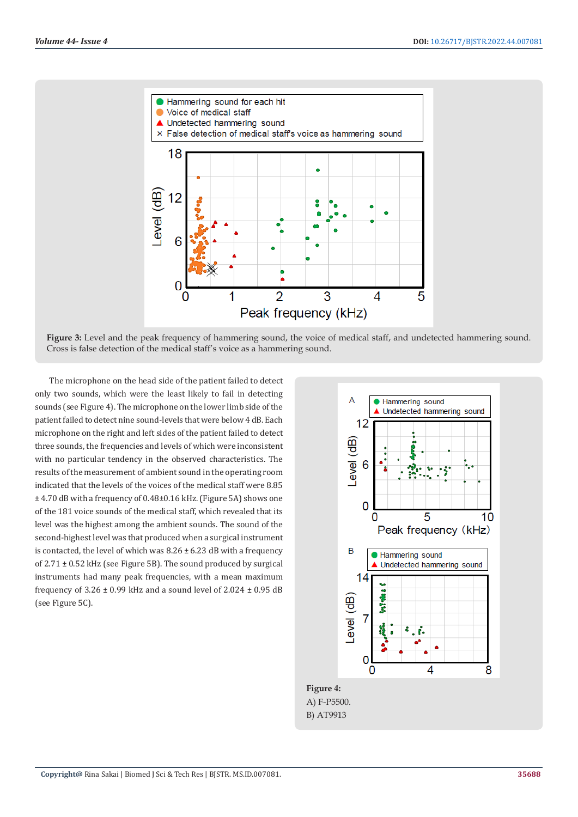

**Figure 3:** Level and the peak frequency of hammering sound, the voice of medical staff, and undetected hammering sound. Cross is false detection of the medical staff's voice as a hammering sound.

The microphone on the head side of the patient failed to detect only two sounds, which were the least likely to fail in detecting sounds (see Figure 4). The microphone on the lower limb side of the patient failed to detect nine sound-levels that were below 4 dB. Each microphone on the right and left sides of the patient failed to detect three sounds, the frequencies and levels of which were inconsistent with no particular tendency in the observed characteristics. The results of the measurement of ambient sound in the operating room indicated that the levels of the voices of the medical staff were 8.85 ± 4.70 dB with a frequency of 0.48±0.16 kHz. (Figure 5A) shows one of the 181 voice sounds of the medical staff, which revealed that its level was the highest among the ambient sounds. The sound of the second-highest level was that produced when a surgical instrument is contacted, the level of which was  $8.26 \pm 6.23$  dB with a frequency of 2.71 ± 0.52 kHz (see Figure 5B). The sound produced by surgical instruments had many peak frequencies, with a mean maximum frequency of  $3.26 \pm 0.99$  kHz and a sound level of  $2.024 \pm 0.95$  dB (see Figure 5C).



A) F-P5500. B) AT9913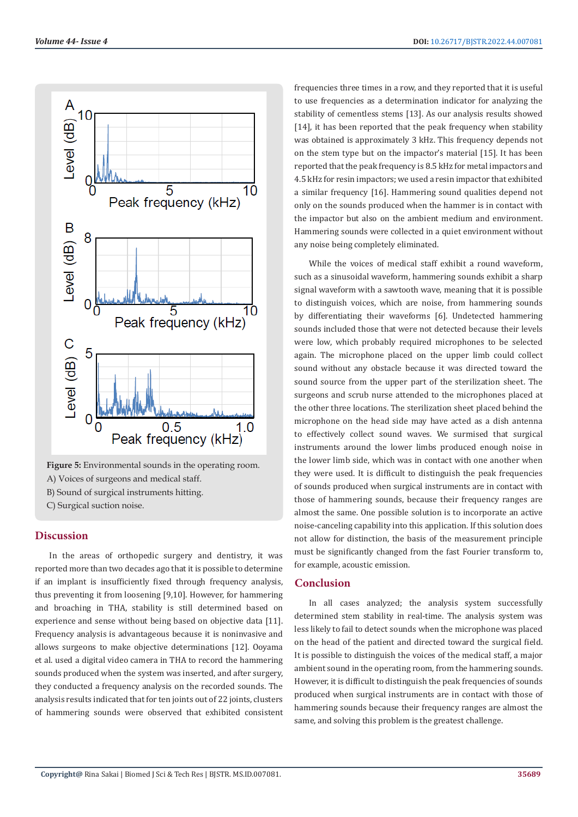

**Figure 5:** Environmental sounds in the operating room. A) Voices of surgeons and medical staff. B) Sound of surgical instruments hitting. C) Surgical suction noise.

**Discussion**

In the areas of orthopedic surgery and dentistry, it was reported more than two decades ago that it is possible to determine if an implant is insufficiently fixed through frequency analysis, thus preventing it from loosening [9,10]. However, for hammering and broaching in THA, stability is still determined based on experience and sense without being based on objective data [11]. Frequency analysis is advantageous because it is noninvasive and allows surgeons to make objective determinations [12]. Ooyama et al. used a digital video camera in THA to record the hammering sounds produced when the system was inserted, and after surgery, they conducted a frequency analysis on the recorded sounds. The analysis results indicated that for ten joints out of 22 joints, clusters of hammering sounds were observed that exhibited consistent frequencies three times in a row, and they reported that it is useful to use frequencies as a determination indicator for analyzing the stability of cementless stems [13]. As our analysis results showed [14], it has been reported that the peak frequency when stability was obtained is approximately 3 kHz. This frequency depends not on the stem type but on the impactor's material [15]. It has been reported that the peak frequency is 8.5 kHz for metal impactors and 4.5 kHz for resin impactors; we used a resin impactor that exhibited a similar frequency [16]. Hammering sound qualities depend not only on the sounds produced when the hammer is in contact with the impactor but also on the ambient medium and environment. Hammering sounds were collected in a quiet environment without any noise being completely eliminated.

While the voices of medical staff exhibit a round waveform, such as a sinusoidal waveform, hammering sounds exhibit a sharp signal waveform with a sawtooth wave, meaning that it is possible to distinguish voices, which are noise, from hammering sounds by differentiating their waveforms [6]. Undetected hammering sounds included those that were not detected because their levels were low, which probably required microphones to be selected again. The microphone placed on the upper limb could collect sound without any obstacle because it was directed toward the sound source from the upper part of the sterilization sheet. The surgeons and scrub nurse attended to the microphones placed at the other three locations. The sterilization sheet placed behind the microphone on the head side may have acted as a dish antenna to effectively collect sound waves. We surmised that surgical instruments around the lower limbs produced enough noise in the lower limb side, which was in contact with one another when they were used. It is difficult to distinguish the peak frequencies of sounds produced when surgical instruments are in contact with those of hammering sounds, because their frequency ranges are almost the same. One possible solution is to incorporate an active noise-canceling capability into this application. If this solution does not allow for distinction, the basis of the measurement principle must be significantly changed from the fast Fourier transform to, for example, acoustic emission.

# **Conclusion**

In all cases analyzed; the analysis system successfully determined stem stability in real-time. The analysis system was less likely to fail to detect sounds when the microphone was placed on the head of the patient and directed toward the surgical field. It is possible to distinguish the voices of the medical staff, a major ambient sound in the operating room, from the hammering sounds. However, it is difficult to distinguish the peak frequencies of sounds produced when surgical instruments are in contact with those of hammering sounds because their frequency ranges are almost the same, and solving this problem is the greatest challenge.